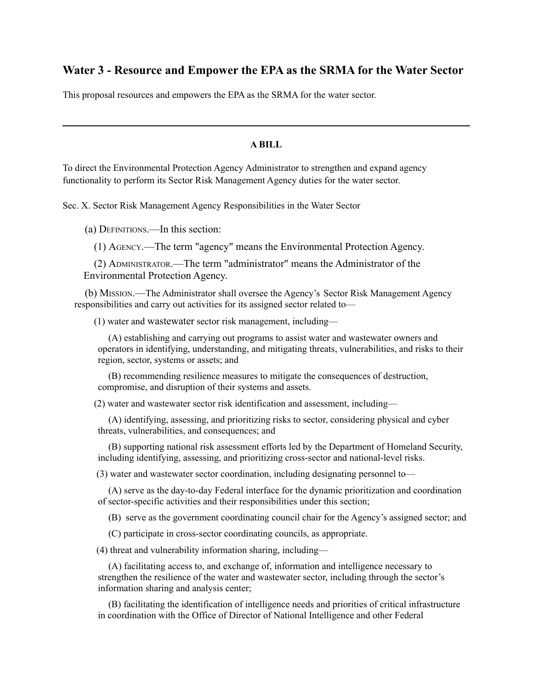## **Water 3 - Resource and Empower the EPA as the SRMA for the Water Sector**

This proposal resources and empowers the EPA as the SRMA for the water sector.

## **A BILL**

To direct the Environmental Protection Agency Administrator to strengthen and expand agency functionality to perform its Sector Risk Management Agency duties for the water sector.

Sec. X. Sector Risk Management Agency Responsibilities in the Water Sector

(a) DEFINITIONS.—In this section:

(1) AGENCY.—The term "agency" means the Environmental Protection Agency.

(2) ADMINISTRATOR.—The term "administrator" means the Administrator of the Environmental Protection Agency.

(b) MISSION.—The Administrator shall oversee the Agency's Sector Risk Management Agency responsibilities and carry out activities for its assigned sector related to—

(1) water and wastewater sector risk management, including—

(A) establishing and carrying out programs to assist water and wastewater owners and operators in identifying, understanding, and mitigating threats, vulnerabilities, and risks to their region, sector, systems or assets; and

(B) recommending resilience measures to mitigate the consequences of destruction, compromise, and disruption of their systems and assets.

(2) water and wastewater sector risk identification and assessment, including—

(A) identifying, assessing, and prioritizing risks to sector, considering physical and cyber threats, vulnerabilities, and consequences; and

(B) supporting national risk assessment efforts led by the Department of Homeland Security, including identifying, assessing, and prioritizing cross-sector and national-level risks.

(3) water and wastewater sector coordination, including designating personnel to—

(A) serve as the day-to-day Federal interface for the dynamic prioritization and coordination of sector-specific activities and their responsibilities under this section;

(B) serve as the government coordinating council chair for the Agency's assigned sector; and

(C) participate in cross-sector coordinating councils, as appropriate.

(4) threat and vulnerability information sharing, including—

(A) facilitating access to, and exchange of, information and intelligence necessary to strengthen the resilience of the water and wastewater sector, including through the sector's information sharing and analysis center;

(B) facilitating the identification of intelligence needs and priorities of critical infrastructure in coordination with the Office of Director of National Intelligence and other Federal